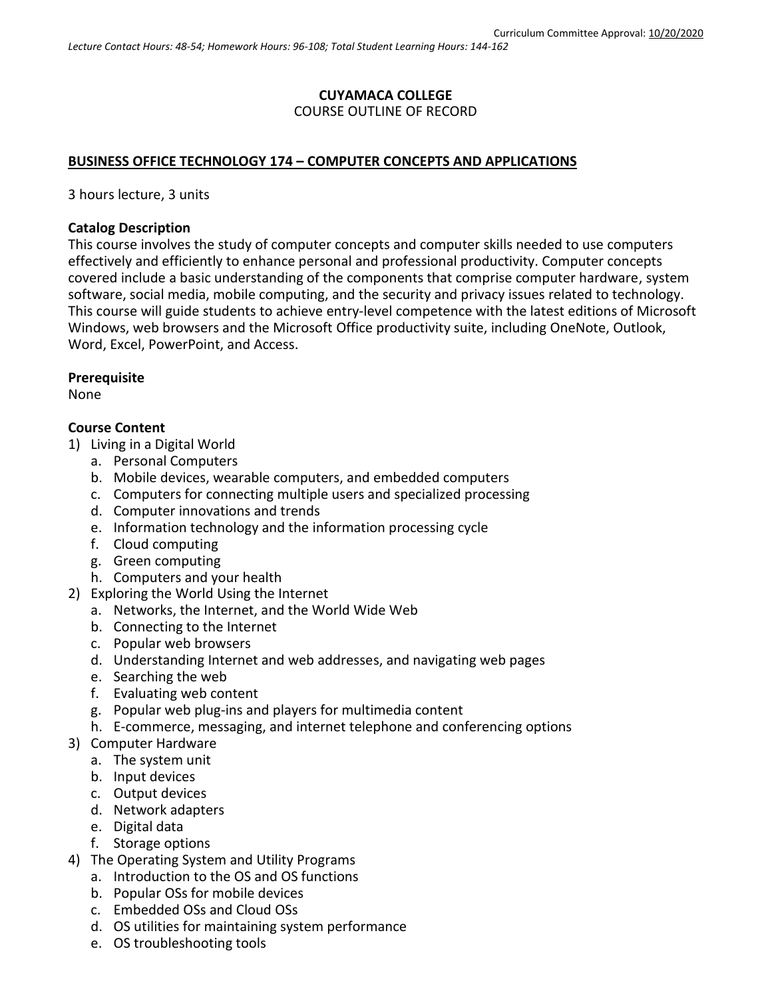## **CUYAMACA COLLEGE** COURSE OUTLINE OF RECORD

## **BUSINESS OFFICE TECHNOLOGY 174 – COMPUTER CONCEPTS AND APPLICATIONS**

3 hours lecture, 3 units

### **Catalog Description**

This course involves the study of computer concepts and computer skills needed to use computers effectively and efficiently to enhance personal and professional productivity. Computer concepts covered include a basic understanding of the components that comprise computer hardware, system software, social media, mobile computing, and the security and privacy issues related to technology. This course will guide students to achieve entry-level competence with the latest editions of Microsoft Windows, web browsers and the Microsoft Office productivity suite, including OneNote, Outlook, Word, Excel, PowerPoint, and Access.

#### **Prerequisite**

None

## **Course Content**

- 1) Living in a Digital World
	- a. Personal Computers
	- b. Mobile devices, wearable computers, and embedded computers
	- c. Computers for connecting multiple users and specialized processing
	- d. Computer innovations and trends
	- e. Information technology and the information processing cycle
	- f. Cloud computing
	- g. Green computing
	- h. Computers and your health
- 2) Exploring the World Using the Internet
	- a. Networks, the Internet, and the World Wide Web
	- b. Connecting to the Internet
	- c. Popular web browsers
	- d. Understanding Internet and web addresses, and navigating web pages
	- e. Searching the web
	- f. Evaluating web content
	- g. Popular web plug-ins and players for multimedia content
	- h. E-commerce, messaging, and internet telephone and conferencing options
- 3) Computer Hardware
	- a. The system unit
	- b. Input devices
	- c. Output devices
	- d. Network adapters
	- e. Digital data
	- f. Storage options
- 4) The Operating System and Utility Programs
	- a. Introduction to the OS and OS functions
	- b. Popular OSs for mobile devices
	- c. Embedded OSs and Cloud OSs
	- d. OS utilities for maintaining system performance
	- e. OS troubleshooting tools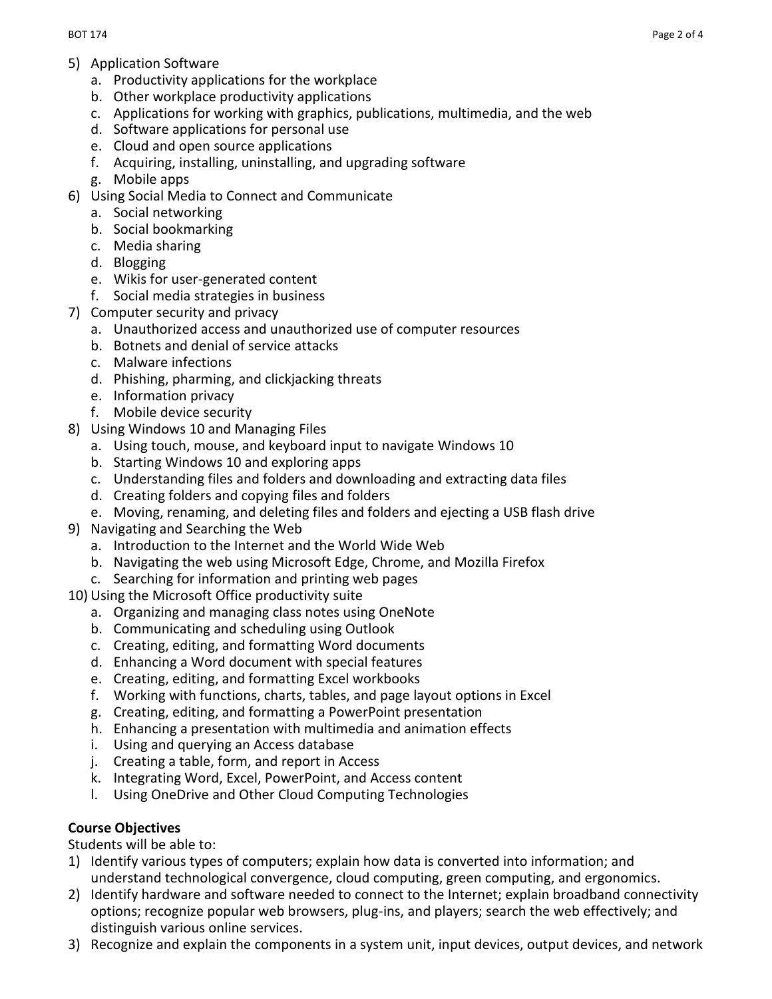- 5) Application Software
	- a. Productivity applications for the workplace
	- b. Other workplace productivity applications
	- c. Applications for working with graphics, publications, multimedia, and the web
	- d. Software applications for personal use
	- e. Cloud and open source applications
	- f. Acquiring, installing, uninstalling, and upgrading software
	- g. Mobile apps
- 6) Using Social Media to Connect and Communicate
	- a. Social networking
	- b. Social bookmarking
	- c. Media sharing
	- d. Blogging
	- e. Wikis for user-generated content
	- f. Social media strategies in business
- 7) Computer security and privacy
	- a. Unauthorized access and unauthorized use of computer resources
	- b. Botnets and denial of service attacks
	- c. Malware infections
	- d. Phishing, pharming, and clickjacking threats
	- e. Information privacy
	- f. Mobile device security
- 8) Using Windows 10 and Managing Files
	- a. Using touch, mouse, and keyboard input to navigate Windows 10
	- b. Starting Windows 10 and exploring apps
	- c. Understanding files and folders and downloading and extracting data files
	- d. Creating folders and copying files and folders
	- e. Moving, renaming, and deleting files and folders and ejecting a USB flash drive
- 9) Navigating and Searching the Web
	- a. Introduction to the Internet and the World Wide Web
	- b. Navigating the web using Microsoft Edge, Chrome, and Mozilla Firefox
	- c. Searching for information and printing web pages
- 10) Using the Microsoft Office productivity suite
	- a. Organizing and managing class notes using OneNote
	- b. Communicating and scheduling using Outlook
	- c. Creating, editing, and formatting Word documents
	- d. Enhancing a Word document with special features
	- e. Creating, editing, and formatting Excel workbooks
	- f. Working with functions, charts, tables, and page layout options in Excel
	- g. Creating, editing, and formatting a PowerPoint presentation
	- h. Enhancing a presentation with multimedia and animation effects
	- i. Using and querying an Access database
	- j. Creating a table, form, and report in Access
	- k. Integrating Word, Excel, PowerPoint, and Access content
	- l. Using OneDrive and Other Cloud Computing Technologies

## **Course Objectives**

Students will be able to:

- 1) Identify various types of computers; explain how data is converted into information; and understand technological convergence, cloud computing, green computing, and ergonomics.
- 2) Identify hardware and software needed to connect to the Internet; explain broadband connectivity options; recognize popular web browsers, plug-ins, and players; search the web effectively; and distinguish various online services.
- 3) Recognize and explain the components in a system unit, input devices, output devices, and network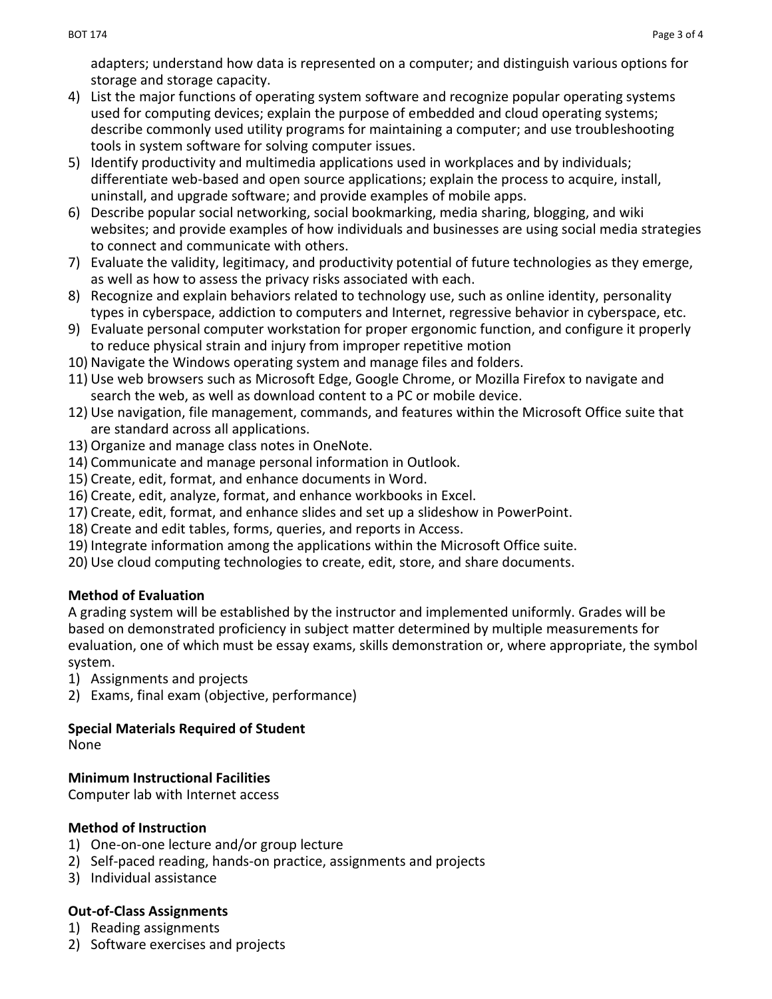adapters; understand how data is represented on a computer; and distinguish various options for storage and storage capacity.

- 4) List the major functions of operating system software and recognize popular operating systems used for computing devices; explain the purpose of embedded and cloud operating systems; describe commonly used utility programs for maintaining a computer; and use troubleshooting tools in system software for solving computer issues.
- 5) Identify productivity and multimedia applications used in workplaces and by individuals; differentiate web-based and open source applications; explain the process to acquire, install, uninstall, and upgrade software; and provide examples of mobile apps.
- 6) Describe popular social networking, social bookmarking, media sharing, blogging, and wiki websites; and provide examples of how individuals and businesses are using social media strategies to connect and communicate with others.
- 7) Evaluate the validity, legitimacy, and productivity potential of future technologies as they emerge, as well as how to assess the privacy risks associated with each.
- 8) Recognize and explain behaviors related to technology use, such as online identity, personality types in cyberspace, addiction to computers and Internet, regressive behavior in cyberspace, etc.
- 9) Evaluate personal computer workstation for proper ergonomic function, and configure it properly to reduce physical strain and injury from improper repetitive motion
- 10) Navigate the Windows operating system and manage files and folders.
- 11) Use web browsers such as Microsoft Edge, Google Chrome, or Mozilla Firefox to navigate and search the web, as well as download content to a PC or mobile device.
- 12) Use navigation, file management, commands, and features within the Microsoft Office suite that are standard across all applications.
- 13) Organize and manage class notes in OneNote.
- 14) Communicate and manage personal information in Outlook.
- 15) Create, edit, format, and enhance documents in Word.
- 16) Create, edit, analyze, format, and enhance workbooks in Excel.
- 17) Create, edit, format, and enhance slides and set up a slideshow in PowerPoint.
- 18) Create and edit tables, forms, queries, and reports in Access.
- 19) Integrate information among the applications within the Microsoft Office suite.
- 20) Use cloud computing technologies to create, edit, store, and share documents.

# **Method of Evaluation**

A grading system will be established by the instructor and implemented uniformly. Grades will be based on demonstrated proficiency in subject matter determined by multiple measurements for evaluation, one of which must be essay exams, skills demonstration or, where appropriate, the symbol system.

- 1) Assignments and projects
- 2) Exams, final exam (objective, performance)

# **Special Materials Required of Student**

None

# **Minimum Instructional Facilities**

Computer lab with Internet access

# **Method of Instruction**

- 1) One-on-one lecture and/or group lecture
- 2) Self-paced reading, hands-on practice, assignments and projects
- 3) Individual assistance

# **Out-of-Class Assignments**

- 1) Reading assignments
- 2) Software exercises and projects